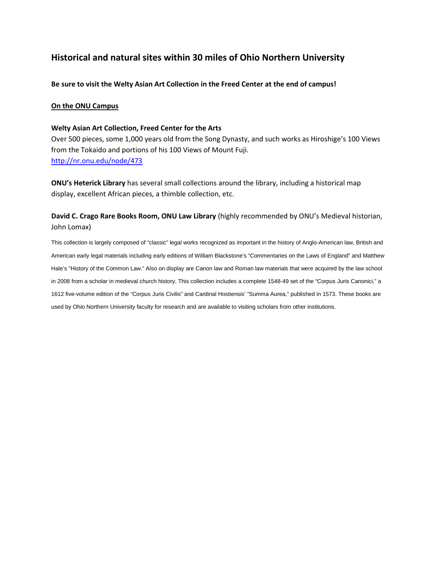# **Historical and natural sites within 30 miles of Ohio Northern University**

**Be sure to visit the Welty Asian Art Collection in the Freed Center at the end of campus!**

#### **On the ONU Campus**

#### **Welty Asian Art Collection, Freed Center for the Arts**

Over 500 pieces, some 1,000 years old from the Song Dynasty, and such works as Hiroshige's 100 Views from the Tokaido and portions of his 100 Views of Mount Fuji. <http://nr.onu.edu/node/473>

**ONU's Heterick Library** has several small collections around the library, including a historical map display, excellent African pieces, a thimble collection, etc.

**David C. Crago Rare Books Room, ONU Law Library** (highly recommended by ONU's Medieval historian, John Lomax)

This collection is largely composed of "classic" legal works recognized as important in the history of Anglo-American law, British and American early legal materials including early editions of William Blackstone's "Commentaries on the Laws of England" and Matthew Hale's "History of the Common Law." Also on display are Canon law and Roman law materials that were acquired by the law school in 2008 from a scholar in medieval church history. This collection includes a complete 1548-49 set of the "Corpus Juris Canonici," a 1612 five-volume edition of the "Corpus Juris Civilis" and Cardinal Hostiensis' "Summa Aurea," published in 1573. These books are used by Ohio Northern University faculty for research and are available to visiting scholars from other institutions.